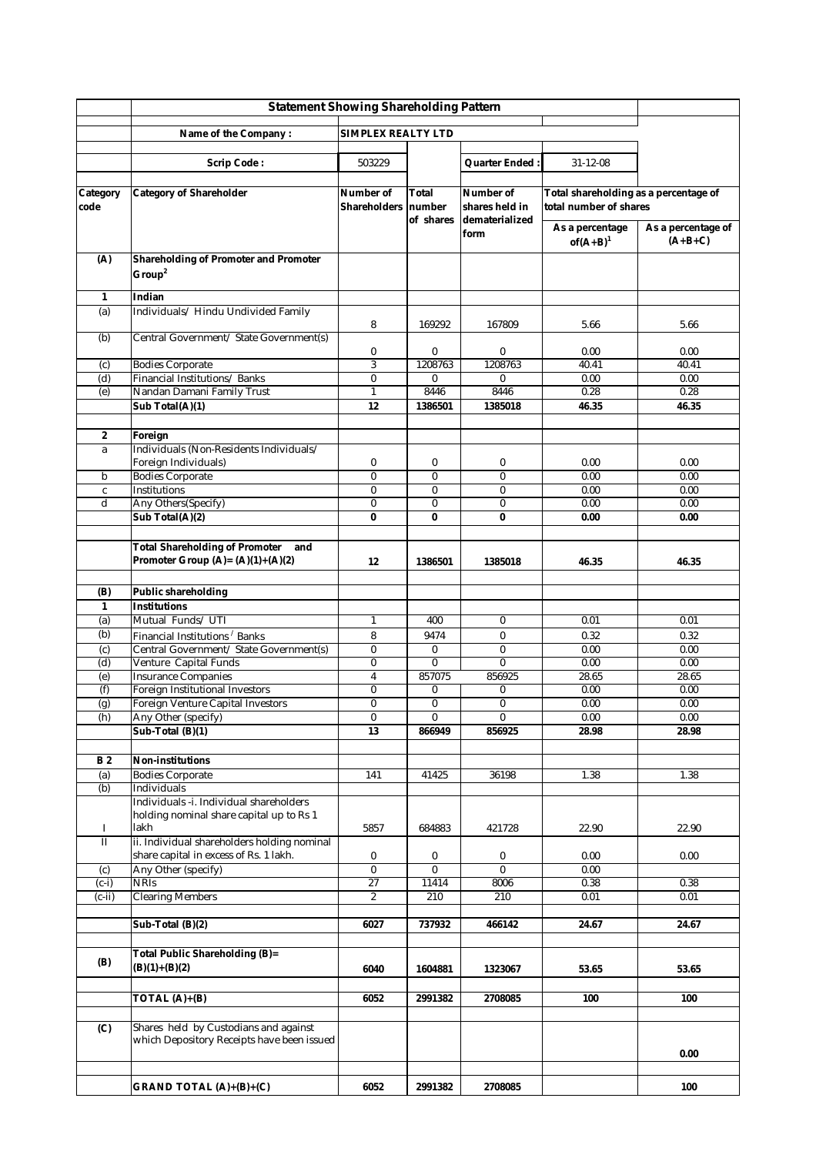|                         | <b>Statement Showing Shareholding Pattern</b>                                       |                           |                 |                             |                                                                 |                                 |
|-------------------------|-------------------------------------------------------------------------------------|---------------------------|-----------------|-----------------------------|-----------------------------------------------------------------|---------------------------------|
|                         | <b>SIMPLEX REALTY LTD</b><br>Name of the Company:                                   |                           |                 |                             |                                                                 |                                 |
|                         |                                                                                     |                           |                 |                             |                                                                 |                                 |
|                         | <b>Scrip Code:</b>                                                                  | 503229                    |                 | Quarter Ended:              | $31 - 12 - 08$                                                  |                                 |
| Category<br>code        | <b>Category of Shareholder</b>                                                      | Number of<br>Shareholders | Total<br>number | Number of<br>shares held in | Total shareholding as a percentage of<br>total number of shares |                                 |
|                         |                                                                                     |                           | of shares       | dematerialized<br>form      | As a percentage<br>$of(A+B)^1$                                  | As a percentage of<br>$(A+B+C)$ |
| (A)                     | <b>Shareholding of Promoter and Promoter</b><br>Group <sup>2</sup>                  |                           |                 |                             |                                                                 |                                 |
| 1                       | Indian                                                                              |                           |                 |                             |                                                                 |                                 |
| (a)                     | Individuals/ Hindu Undivided Family                                                 | 8                         | 169292          | 167809                      | 5.66                                                            | 5.66                            |
| (b)                     | Central Government/ State Government(s)                                             | 0                         | $\bf{0}$        | 0                           | 0.00                                                            | 0.00                            |
| (c)                     | <b>Bodies Corporate</b>                                                             | 3                         | 1208763         | 1208763                     | 40.41                                                           | 40.41                           |
| (d)                     | Financial Institutions/Banks                                                        | $\bf{0}$                  | $\bf{0}$        | $\bf{0}$                    | 0.00                                                            | 0.00                            |
| (e)                     | Nandan Damani Family Trust                                                          | $\mathbf{1}$              | 8446            | 8446                        | 0.28                                                            | 0.28                            |
|                         | Sub Total(A)(1)                                                                     | 12                        | 1386501         | 1385018                     | 46.35                                                           | 46.35                           |
|                         |                                                                                     |                           |                 |                             |                                                                 |                                 |
| $\boldsymbol{2}$        | Foreign<br>Individuals (Non-Residents Individuals/                                  |                           |                 |                             |                                                                 |                                 |
| a                       | Foreign Individuals)                                                                | 0                         | $\bf{0}$        | $\boldsymbol{0}$            | 0.00                                                            | 0.00                            |
| b                       | <b>Bodies Corporate</b>                                                             | $\bf{0}$                  | $\bf{0}$        | $\bf{0}$                    | 0.00                                                            | 0.00                            |
| $\mathbf c$             | Institutions                                                                        | $\bf{0}$                  | $\bf{0}$        | $\bf{0}$                    | 0.00                                                            | 0.00                            |
| d                       | Any Others(Specify)                                                                 | 0                         | $\bf{0}$        | 0                           | 0.00                                                            | 0.00                            |
|                         | Sub Total(A)(2)                                                                     | $\bf{0}$                  | $\bf{0}$        | 0                           | 0.00                                                            | 0.00                            |
|                         |                                                                                     |                           |                 |                             |                                                                 |                                 |
|                         | <b>Total Shareholding of Promoter</b><br>and<br>Promoter Group $(A)=(A)(1)+(A)(2)$  | 12                        | 1386501         | 1385018                     | 46.35                                                           | 46.35                           |
| (B)                     | <b>Public shareholding</b>                                                          |                           |                 |                             |                                                                 |                                 |
| $\mathbf{1}$            | <b>Institutions</b>                                                                 |                           |                 |                             |                                                                 |                                 |
| (a)                     | Mutual Funds/UTI                                                                    | $\mathbf{1}$              | 400             | $\bf{0}$                    | 0.01                                                            | 0.01                            |
| (b)                     | Financial Institutions <sup>/</sup> Banks                                           | 8                         | 9474            | 0                           | 0.32                                                            | 0.32                            |
| (c)                     | Central Government/ State Government(s)                                             | $\bf{0}$                  | $\bf{0}$        | 0                           | 0.00                                                            | 0.00                            |
| (d)                     | Venture Capital Funds                                                               | $\bf{0}$                  | $\bf{0}$        | $\bf{0}$                    | 0.00                                                            | 0.00                            |
| (e)                     | <b>Insurance Companies</b>                                                          | 4                         | 857075          | 856925                      | 28.65                                                           | 28.65                           |
| (f)                     | <b>Foreign Institutional Investors</b>                                              | $\bf{0}$                  | $\bf{0}$        | 0                           | 0.00                                                            | 0.00                            |
| (g)                     | <b>Foreign Venture Capital Investors</b>                                            | 0                         | $\bf{0}$        | $\bf{0}$                    | 0.00                                                            | 0.00                            |
| (h)                     | Any Other (specify)                                                                 | 0                         | 0               | 0                           | 0.00                                                            | 0.00                            |
|                         | Sub-Total (B)(1)                                                                    | 13                        | 866949          | 856925                      | 28.98                                                           | 28.98                           |
|                         | Non-institutions                                                                    |                           |                 |                             |                                                                 |                                 |
| <b>B2</b>               | <b>Bodies Corporate</b>                                                             | 141                       | 41425           | 36198                       | 1.38                                                            | 1.38                            |
| (a)<br>(b)              | Individuals                                                                         |                           |                 |                             |                                                                 |                                 |
|                         | Individuals -i. Individual shareholders                                             |                           |                 |                             |                                                                 |                                 |
| 1                       | holding nominal share capital up to Rs 1<br>lakh                                    | 5857                      | 684883          | 421728                      | 22.90                                                           | 22.90                           |
| $\overline{\mathbf{u}}$ | ii. Individual shareholders holding nominal                                         |                           |                 |                             |                                                                 |                                 |
|                         | share capital in excess of Rs. 1 lakh.                                              | 0                         | 0               | 0                           | 0.00                                                            | 0.00                            |
| (c)                     | Any Other (specify)                                                                 | $\bf{0}$                  | $\bf{0}$        | $\bf{0}$                    | 0.00                                                            |                                 |
| $(c-i)$                 | <b>NRIs</b>                                                                         | 27                        | 11414           | 8006                        | 0.38                                                            | 0.38                            |
| $(c-ii)$                | <b>Clearing Members</b>                                                             | $\boldsymbol{2}$          | 210             | 210                         | 0.01                                                            | 0.01                            |
|                         |                                                                                     |                           |                 |                             |                                                                 |                                 |
|                         | Sub-Total (B)(2)                                                                    | 6027                      | 737932          | 466142                      | 24.67                                                           | 24.67                           |
| (B)                     | Total Public Shareholding (B)=<br>$(B)(1)+(B)(2)$                                   | 6040                      | 1604881         | 1323067                     | 53.65                                                           | 53.65                           |
|                         | TOTAL $(A)+(B)$                                                                     | 6052                      | 2991382         | 2708085                     | 100                                                             | 100                             |
|                         |                                                                                     |                           |                 |                             |                                                                 |                                 |
| (C)                     | Shares held by Custodians and against<br>which Depository Receipts have been issued |                           |                 |                             |                                                                 | 0.00                            |
|                         |                                                                                     |                           |                 |                             |                                                                 |                                 |
|                         | $GRAND$ TOTAL $(A)+(B)+(C)$                                                         | 6052                      | 2991382         | 2708085                     |                                                                 | 100                             |